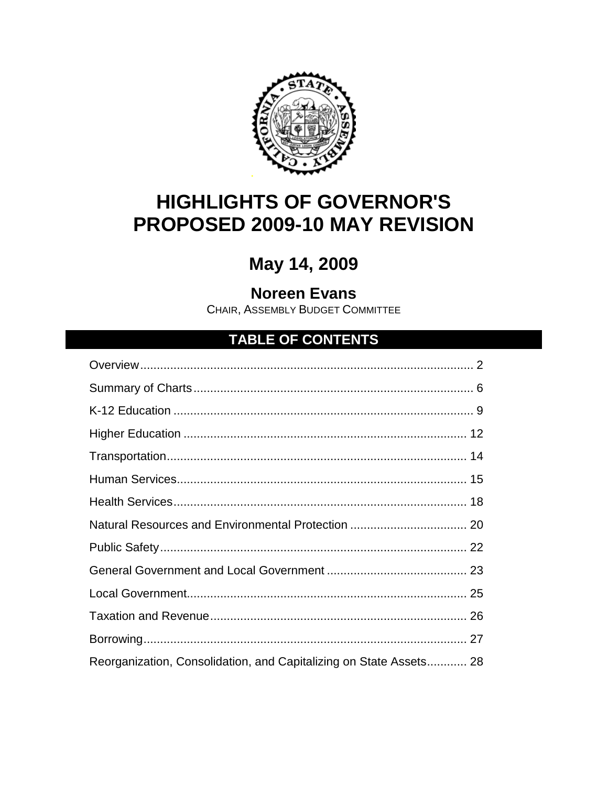

# **HIGHLIGHTS OF GOVERNOR'S** PROPOSED 2009-10 MAY REVISION

# May 14, 2009

# **Noreen Evans**

CHAIR, ASSEMBLY BUDGET COMMITTEE

# **TABLE OF CONTENTS**

| Reorganization, Consolidation, and Capitalizing on State Assets 28 |  |
|--------------------------------------------------------------------|--|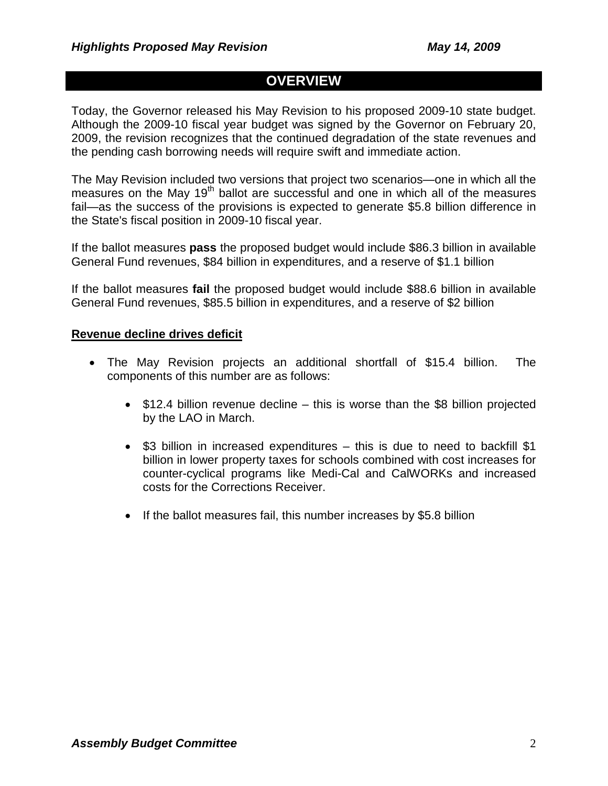# **OVERVIEW**

Today, the Governor released his May Revision to his proposed 2009-10 state budget. Although the 2009-10 fiscal year budget was signed by the Governor on February 20, 2009, the revision recognizes that the continued degradation of the state revenues and the pending cash borrowing needs will require swift and immediate action.

The May Revision included two versions that project two scenarios—one in which all the measures on the May 19<sup>th</sup> ballot are successful and one in which all of the measures fail—as the success of the provisions is expected to generate \$5.8 billion difference in the State's fiscal position in 2009-10 fiscal year.

If the ballot measures **pass** the proposed budget would include \$86.3 billion in available General Fund revenues, \$84 billion in expenditures, and a reserve of \$1.1 billion

If the ballot measures **fail** the proposed budget would include \$88.6 billion in available General Fund revenues, \$85.5 billion in expenditures, and a reserve of \$2 billion

### **Revenue decline drives deficit**

- The May Revision projects an additional shortfall of \$15.4 billion. The components of this number are as follows:
	- \$12.4 billion revenue decline this is worse than the \$8 billion projected by the LAO in March.
	- \$3 billion in increased expenditures this is due to need to backfill \$1 billion in lower property taxes for schools combined with cost increases for counter-cyclical programs like Medi-Cal and CalWORKs and increased costs for the Corrections Receiver.
	- If the ballot measures fail, this number increases by \$5.8 billion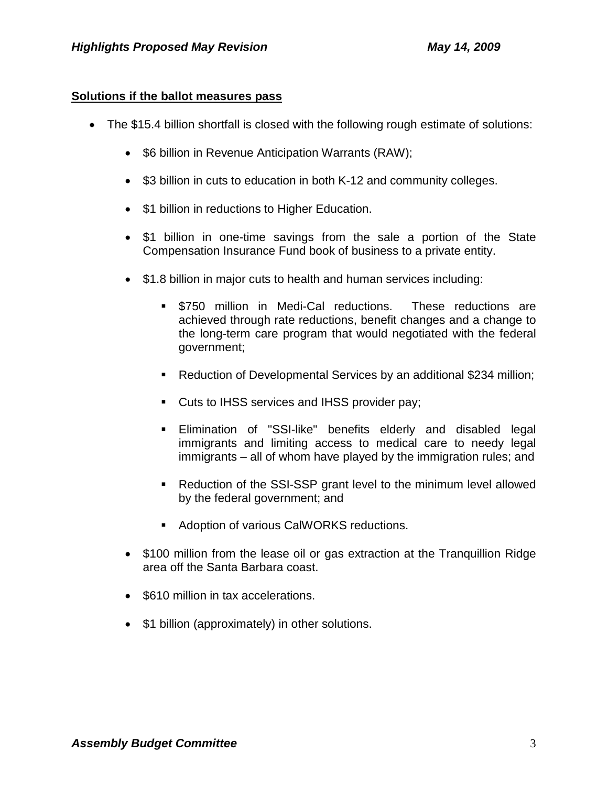## **Solutions if the ballot measures pass**

- The \$15.4 billion shortfall is closed with the following rough estimate of solutions:
	- \$6 billion in Revenue Anticipation Warrants (RAW);
	- \$3 billion in cuts to education in both K-12 and community colleges.
	- \$1 billion in reductions to Higher Education.
	- \$1 billion in one-time savings from the sale a portion of the State Compensation Insurance Fund book of business to a private entity.
	- \$1.8 billion in major cuts to health and human services including:
		- \$750 million in Medi-Cal reductions. These reductions are achieved through rate reductions, benefit changes and a change to the long-term care program that would negotiated with the federal government;
		- Reduction of Developmental Services by an additional \$234 million;
		- **Cuts to IHSS services and IHSS provider pay;**
		- Elimination of "SSI-like" benefits elderly and disabled legal immigrants and limiting access to medical care to needy legal immigrants – all of whom have played by the immigration rules; and
		- Reduction of the SSI-SSP grant level to the minimum level allowed by the federal government; and
		- Adoption of various CalWORKS reductions.
	- \$100 million from the lease oil or gas extraction at the Tranquillion Ridge area off the Santa Barbara coast.
	- \$610 million in tax accelerations.
	- \$1 billion (approximately) in other solutions.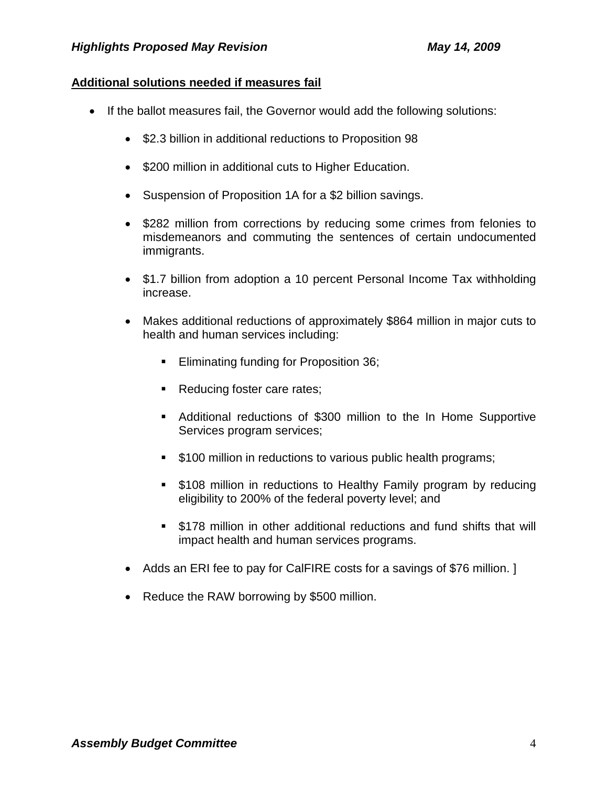# **Additional solutions needed if measures fail**

- If the ballot measures fail, the Governor would add the following solutions:
	- \$2.3 billion in additional reductions to Proposition 98
	- \$200 million in additional cuts to Higher Education.
	- Suspension of Proposition 1A for a \$2 billion savings.
	- \$282 million from corrections by reducing some crimes from felonies to misdemeanors and commuting the sentences of certain undocumented immigrants.
	- \$1.7 billion from adoption a 10 percent Personal Income Tax withholding increase.
	- Makes additional reductions of approximately \$864 million in major cuts to health and human services including:
		- **Eliminating funding for Proposition 36;**
		- Reducing foster care rates;
		- Additional reductions of \$300 million to the In Home Supportive Services program services;
		- **5100 million in reductions to various public health programs;**
		- **5108 million in reductions to Healthy Family program by reducing** eligibility to 200% of the federal poverty level; and
		- \$178 million in other additional reductions and fund shifts that will impact health and human services programs.
	- Adds an ERI fee to pay for CalFIRE costs for a savings of \$76 million. 1
	- Reduce the RAW borrowing by \$500 million.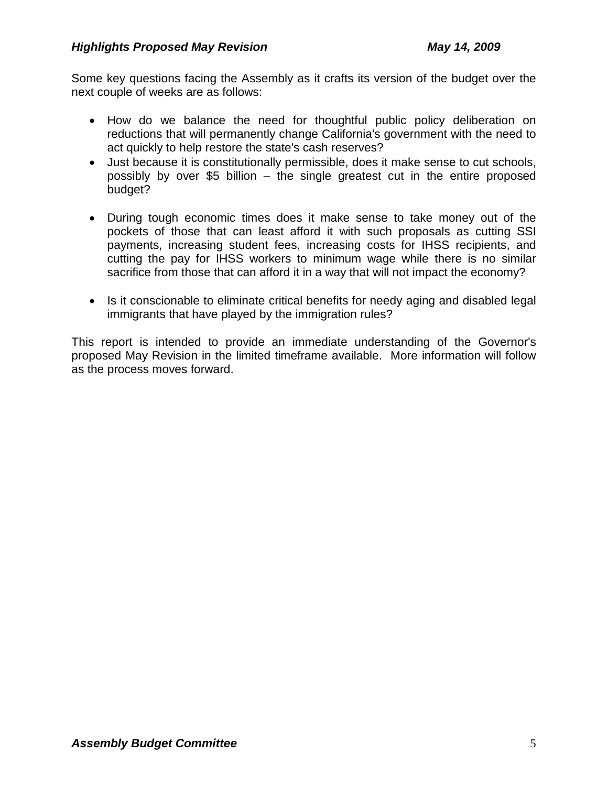Some key questions facing the Assembly as it crafts its version of the budget over the next couple of weeks are as follows:

- How do we balance the need for thoughtful public policy deliberation on reductions that will permanently change California's government with the need to act quickly to help restore the state's cash reserves?
- Just because it is constitutionally permissible, does it make sense to cut schools, possibly by over \$5 billion – the single greatest cut in the entire proposed budget?
- During tough economic times does it make sense to take money out of the pockets of those that can least afford it with such proposals as cutting SSI payments, increasing student fees, increasing costs for IHSS recipients, and cutting the pay for IHSS workers to minimum wage while there is no similar sacrifice from those that can afford it in a way that will not impact the economy?
- Is it conscionable to eliminate critical benefits for needy aging and disabled legal immigrants that have played by the immigration rules?

This report is intended to provide an immediate understanding of the Governor's proposed May Revision in the limited timeframe available. More information will follow as the process moves forward.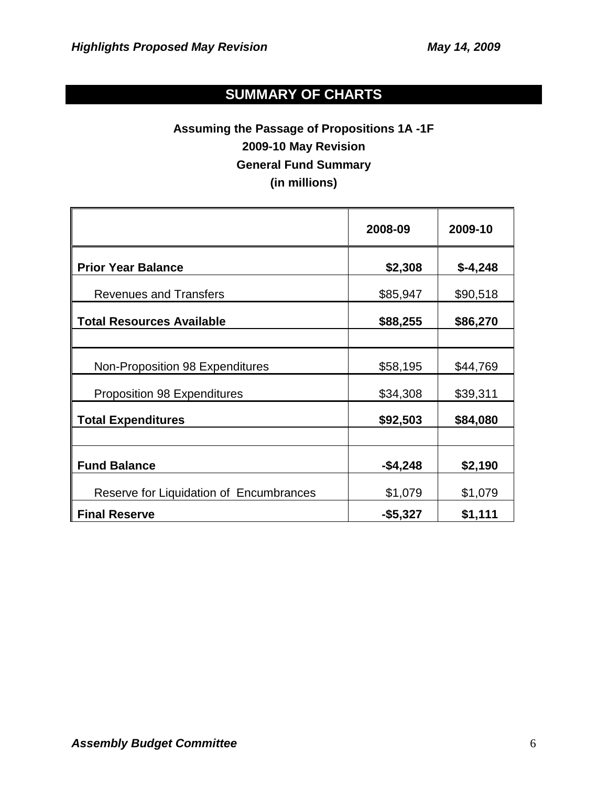# **SUMMARY OF CHARTS**

# **Assuming the Passage of Propositions 1A -1F 2009-10 May Revision General Fund Summary (in millions)**

|                                         | 2008-09     | 2009-10   |
|-----------------------------------------|-------------|-----------|
| <b>Prior Year Balance</b>               | \$2,308     | $$-4,248$ |
| <b>Revenues and Transfers</b>           | \$85,947    | \$90,518  |
| <b>Total Resources Available</b>        | \$88,255    | \$86,270  |
| Non-Proposition 98 Expenditures         | \$58,195    | \$44,769  |
| <b>Proposition 98 Expenditures</b>      | \$34,308    | \$39,311  |
| <b>Total Expenditures</b>               | \$92,503    | \$84,080  |
| <b>Fund Balance</b>                     | $-$ \$4,248 | \$2,190   |
| Reserve for Liquidation of Encumbrances | \$1,079     | \$1,079   |
| <b>Final Reserve</b>                    | $-$ \$5,327 | \$1,111   |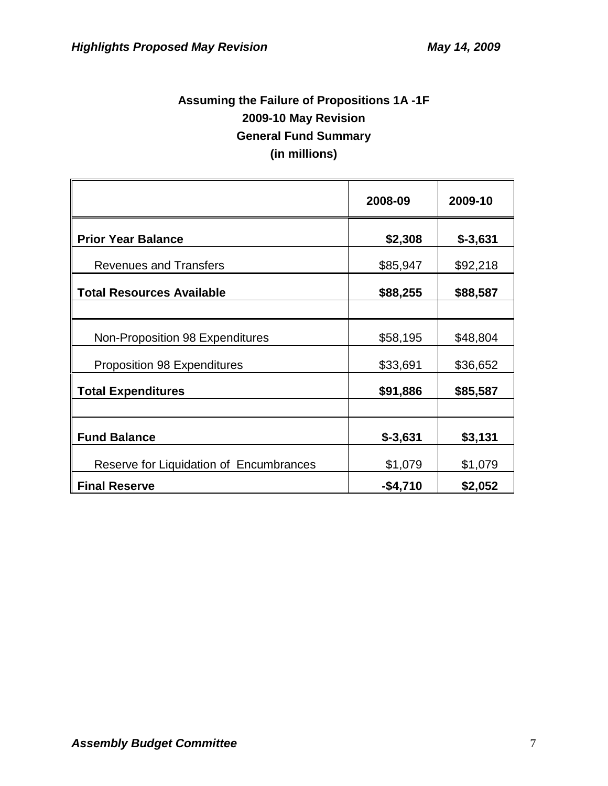# **Assuming the Failure of Propositions 1A -1F 2009-10 May Revision General Fund Summary (in millions)**

|                                         | 2008-09   | 2009-10    |
|-----------------------------------------|-----------|------------|
| <b>Prior Year Balance</b>               | \$2,308   | $$ -3,631$ |
| <b>Revenues and Transfers</b>           | \$85,947  | \$92,218   |
| <b>Total Resources Available</b>        | \$88,255  | \$88,587   |
| Non-Proposition 98 Expenditures         | \$58,195  | \$48,804   |
| <b>Proposition 98 Expenditures</b>      | \$33,691  | \$36,652   |
| <b>Total Expenditures</b>               | \$91,886  | \$85,587   |
| <b>Fund Balance</b>                     | $$-3,631$ | \$3,131    |
| Reserve for Liquidation of Encumbrances | \$1,079   | \$1,079    |
| <b>Final Reserve</b>                    | $-$4,710$ | \$2,052    |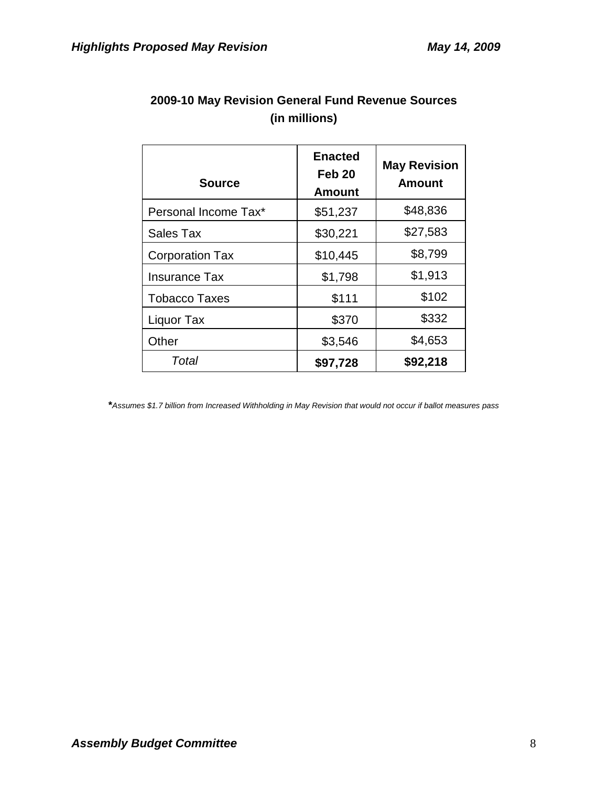| <b>Source</b>          | <b>Enacted</b><br>Feb <sub>20</sub><br><b>Amount</b> | <b>May Revision</b><br>Amount |
|------------------------|------------------------------------------------------|-------------------------------|
| Personal Income Tax*   | \$51,237                                             | \$48,836                      |
| Sales Tax              | \$30,221                                             | \$27,583                      |
| <b>Corporation Tax</b> | \$10,445                                             | \$8,799                       |
| <b>Insurance Tax</b>   | \$1,798                                              | \$1,913                       |
| <b>Tobacco Taxes</b>   | \$111                                                | \$102                         |
| Liquor Tax             | \$370                                                | \$332                         |
| Other                  | \$3,546                                              | \$4,653                       |
| Total                  | \$97,728                                             | \$92,218                      |

# **2009-10 May Revision General Fund Revenue Sources (in millions)**

**\****Assumes \$1.7 billion from Increased Withholding in May Revision that would not occur if ballot measures pass*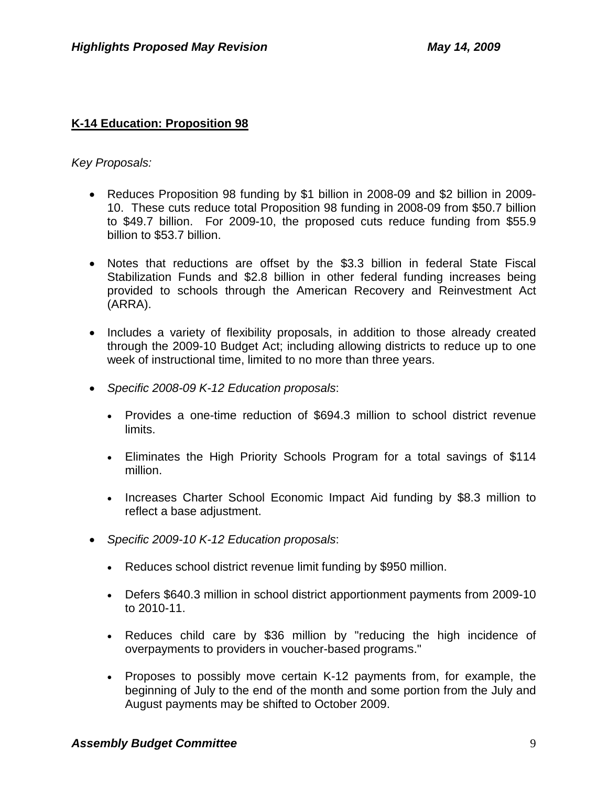# **K-14 Education: Proposition 98**

## *Key Proposals:*

- Reduces Proposition 98 funding by \$1 billion in 2008-09 and \$2 billion in 2009- 10. These cuts reduce total Proposition 98 funding in 2008-09 from \$50.7 billion to \$49.7 billion. For 2009-10, the proposed cuts reduce funding from \$55.9 billion to \$53.7 billion.
- Notes that reductions are offset by the \$3.3 billion in federal State Fiscal Stabilization Funds and \$2.8 billion in other federal funding increases being provided to schools through the American Recovery and Reinvestment Act (ARRA).
- Includes a variety of flexibility proposals, in addition to those already created through the 2009-10 Budget Act; including allowing districts to reduce up to one week of instructional time, limited to no more than three years.
- *Specific 2008-09 K-12 Education proposals*:
	- Provides a one-time reduction of \$694.3 million to school district revenue limits.
	- Eliminates the High Priority Schools Program for a total savings of \$114 million.
	- Increases Charter School Economic Impact Aid funding by \$8.3 million to reflect a base adjustment.
- *Specific 2009-10 K-12 Education proposals*:
	- Reduces school district revenue limit funding by \$950 million.
	- Defers \$640.3 million in school district apportionment payments from 2009-10 to 2010-11.
	- Reduces child care by \$36 million by "reducing the high incidence of overpayments to providers in voucher-based programs."
	- Proposes to possibly move certain K-12 payments from, for example, the beginning of July to the end of the month and some portion from the July and August payments may be shifted to October 2009.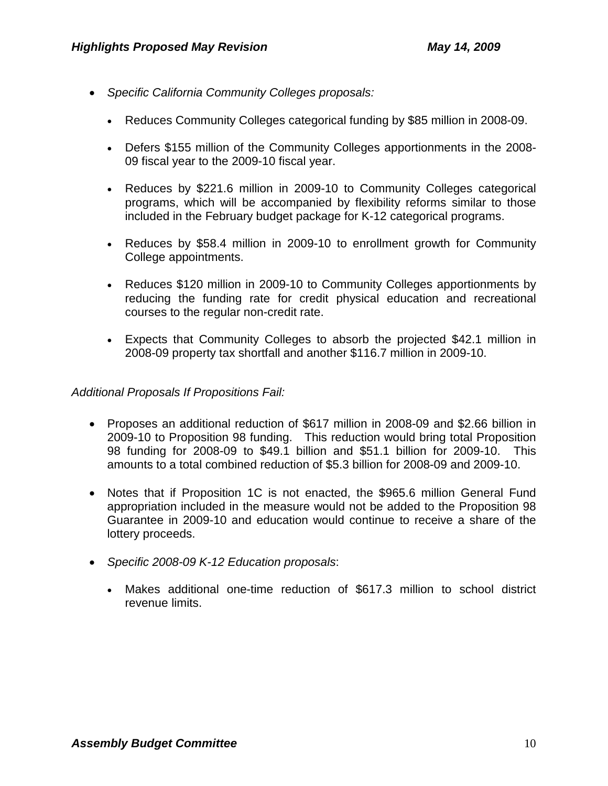- *Specific California Community Colleges proposals:*
	- Reduces Community Colleges categorical funding by \$85 million in 2008-09.
	- Defers \$155 million of the Community Colleges apportionments in the 2008- 09 fiscal year to the 2009-10 fiscal year.
	- Reduces by \$221.6 million in 2009-10 to Community Colleges categorical programs, which will be accompanied by flexibility reforms similar to those included in the February budget package for K-12 categorical programs.
	- Reduces by \$58.4 million in 2009-10 to enrollment growth for Community College appointments.
	- Reduces \$120 million in 2009-10 to Community Colleges apportionments by reducing the funding rate for credit physical education and recreational courses to the regular non-credit rate.
	- Expects that Community Colleges to absorb the projected \$42.1 million in 2008-09 property tax shortfall and another \$116.7 million in 2009-10.

- Proposes an additional reduction of \$617 million in 2008-09 and \$2.66 billion in 2009-10 to Proposition 98 funding. This reduction would bring total Proposition 98 funding for 2008-09 to \$49.1 billion and \$51.1 billion for 2009-10. This amounts to a total combined reduction of \$5.3 billion for 2008-09 and 2009-10.
- Notes that if Proposition 1C is not enacted, the \$965.6 million General Fund appropriation included in the measure would not be added to the Proposition 98 Guarantee in 2009-10 and education would continue to receive a share of the lottery proceeds.
- *Specific 2008-09 K-12 Education proposals*:
	- Makes additional one-time reduction of \$617.3 million to school district revenue limits.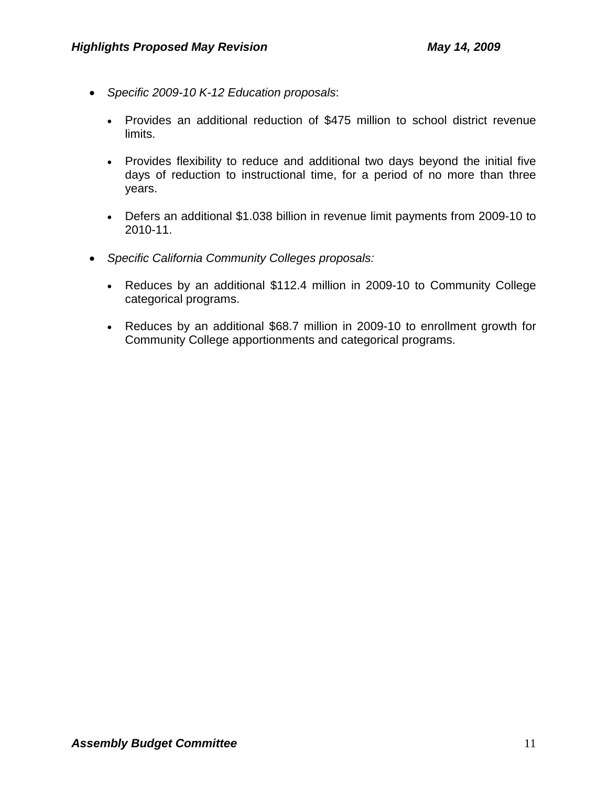- *Specific 2009-10 K-12 Education proposals*:
	- Provides an additional reduction of \$475 million to school district revenue limits.
	- Provides flexibility to reduce and additional two days beyond the initial five days of reduction to instructional time, for a period of no more than three years.
	- Defers an additional \$1.038 billion in revenue limit payments from 2009-10 to 2010-11.
- *Specific California Community Colleges proposals:*
	- Reduces by an additional \$112.4 million in 2009-10 to Community College categorical programs.
	- Reduces by an additional \$68.7 million in 2009-10 to enrollment growth for Community College apportionments and categorical programs.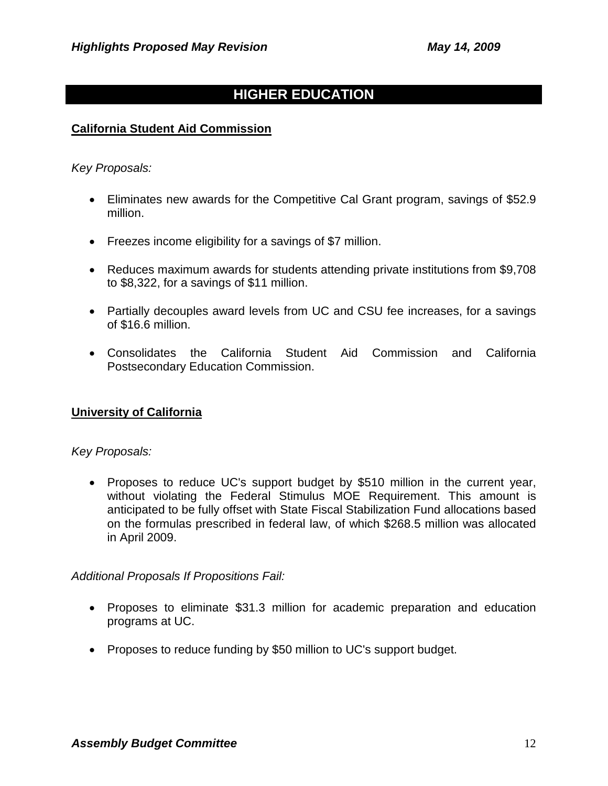# **HIGHER EDUCATION**

## **California Student Aid Commission**

#### *Key Proposals:*

- Eliminates new awards for the Competitive Cal Grant program, savings of \$52.9 million.
- Freezes income eligibility for a savings of \$7 million.
- Reduces maximum awards for students attending private institutions from \$9,708 to \$8,322, for a savings of \$11 million.
- Partially decouples award levels from UC and CSU fee increases, for a savings of \$16.6 million.
- Consolidates the California Student Aid Commission and California Postsecondary Education Commission.

### **University of California**

### *Key Proposals:*

• Proposes to reduce UC's support budget by \$510 million in the current year, without violating the Federal Stimulus MOE Requirement. This amount is anticipated to be fully offset with State Fiscal Stabilization Fund allocations based on the formulas prescribed in federal law, of which \$268.5 million was allocated in April 2009.

- Proposes to eliminate \$31.3 million for academic preparation and education programs at UC.
- Proposes to reduce funding by \$50 million to UC's support budget.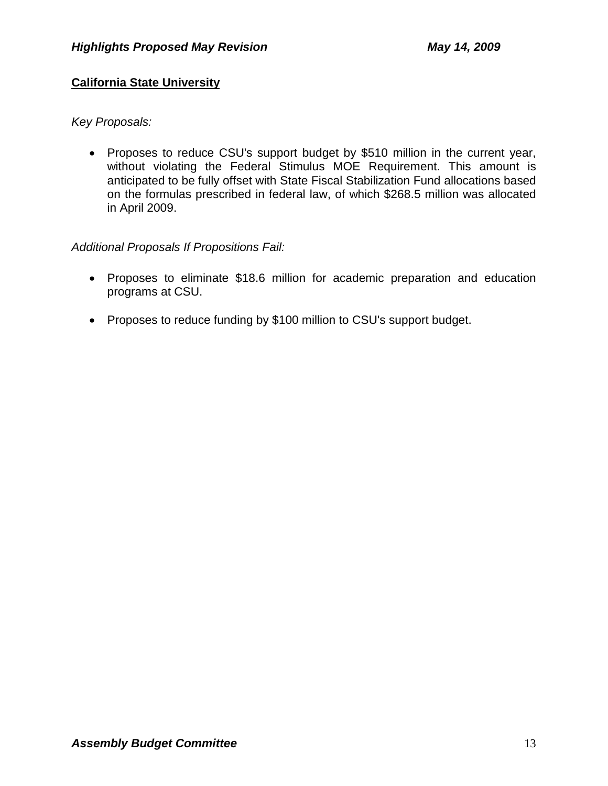# **California State University**

## *Key Proposals:*

• Proposes to reduce CSU's support budget by \$510 million in the current year, without violating the Federal Stimulus MOE Requirement. This amount is anticipated to be fully offset with State Fiscal Stabilization Fund allocations based on the formulas prescribed in federal law, of which \$268.5 million was allocated in April 2009.

- Proposes to eliminate \$18.6 million for academic preparation and education programs at CSU.
- Proposes to reduce funding by \$100 million to CSU's support budget.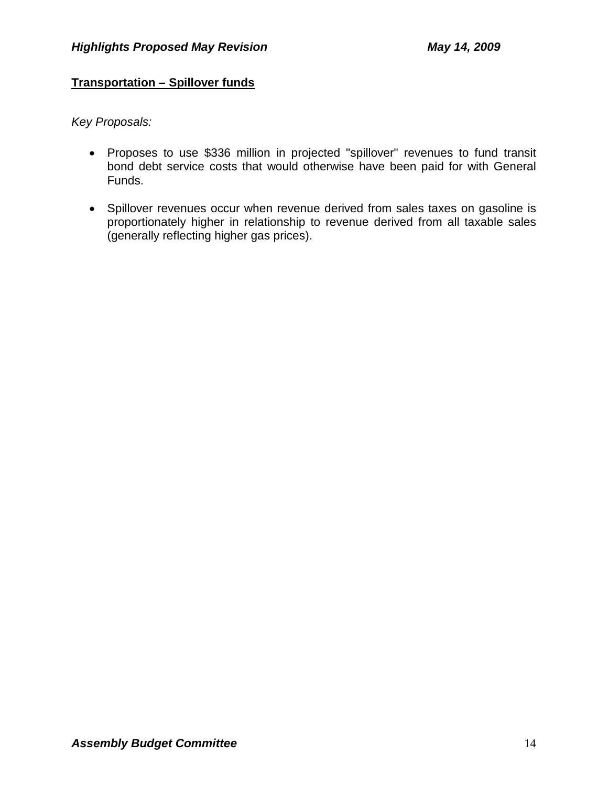# **Transportation – Spillover funds**

*Key Proposals:* 

- Proposes to use \$336 million in projected "spillover" revenues to fund transit bond debt service costs that would otherwise have been paid for with General Funds.
- Spillover revenues occur when revenue derived from sales taxes on gasoline is proportionately higher in relationship to revenue derived from all taxable sales (generally reflecting higher gas prices).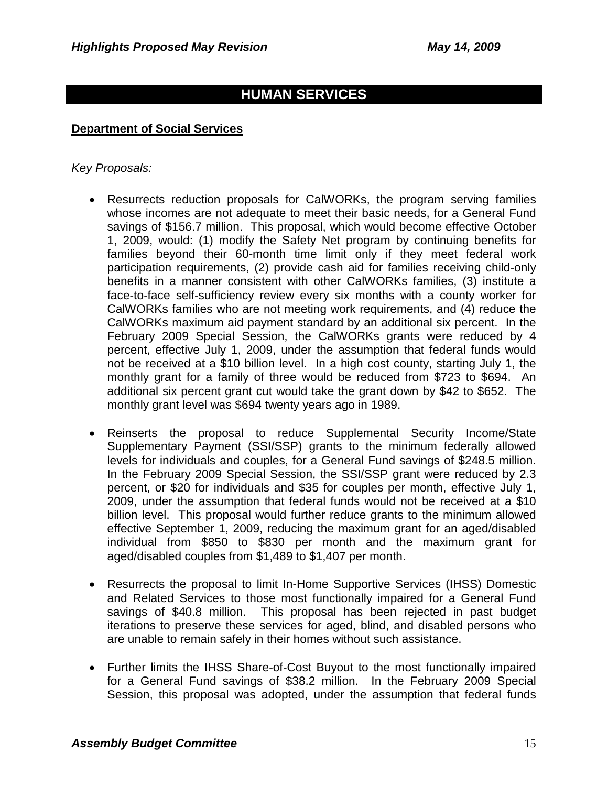# **HUMAN SERVICES**

#### **Department of Social Services**

#### *Key Proposals:*

- Resurrects reduction proposals for CalWORKs, the program serving families whose incomes are not adequate to meet their basic needs, for a General Fund savings of \$156.7 million. This proposal, which would become effective October 1, 2009, would: (1) modify the Safety Net program by continuing benefits for families beyond their 60-month time limit only if they meet federal work participation requirements, (2) provide cash aid for families receiving child-only benefits in a manner consistent with other CalWORKs families, (3) institute a face-to-face self-sufficiency review every six months with a county worker for CalWORKs families who are not meeting work requirements, and (4) reduce the CalWORKs maximum aid payment standard by an additional six percent. In the February 2009 Special Session, the CalWORKs grants were reduced by 4 percent, effective July 1, 2009, under the assumption that federal funds would not be received at a \$10 billion level. In a high cost county, starting July 1, the monthly grant for a family of three would be reduced from \$723 to \$694. An additional six percent grant cut would take the grant down by \$42 to \$652. The monthly grant level was \$694 twenty years ago in 1989.
- Reinserts the proposal to reduce Supplemental Security Income/State Supplementary Payment (SSI/SSP) grants to the minimum federally allowed levels for individuals and couples, for a General Fund savings of \$248.5 million. In the February 2009 Special Session, the SSI/SSP grant were reduced by 2.3 percent, or \$20 for individuals and \$35 for couples per month, effective July 1, 2009, under the assumption that federal funds would not be received at a \$10 billion level. This proposal would further reduce grants to the minimum allowed effective September 1, 2009, reducing the maximum grant for an aged/disabled individual from \$850 to \$830 per month and the maximum grant for aged/disabled couples from \$1,489 to \$1,407 per month.
- Resurrects the proposal to limit In-Home Supportive Services (IHSS) Domestic and Related Services to those most functionally impaired for a General Fund savings of \$40.8 million. This proposal has been rejected in past budget iterations to preserve these services for aged, blind, and disabled persons who are unable to remain safely in their homes without such assistance.
- Further limits the IHSS Share-of-Cost Buyout to the most functionally impaired for a General Fund savings of \$38.2 million. In the February 2009 Special Session, this proposal was adopted, under the assumption that federal funds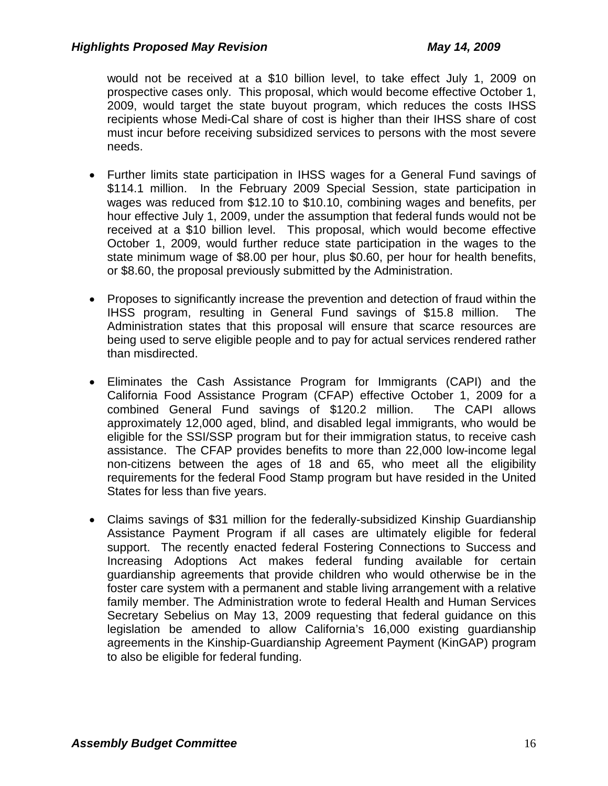would not be received at a \$10 billion level, to take effect July 1, 2009 on prospective cases only. This proposal, which would become effective October 1, 2009, would target the state buyout program, which reduces the costs IHSS recipients whose Medi-Cal share of cost is higher than their IHSS share of cost must incur before receiving subsidized services to persons with the most severe needs.

- Further limits state participation in IHSS wages for a General Fund savings of \$114.1 million. In the February 2009 Special Session, state participation in wages was reduced from \$12.10 to \$10.10, combining wages and benefits, per hour effective July 1, 2009, under the assumption that federal funds would not be received at a \$10 billion level. This proposal, which would become effective October 1, 2009, would further reduce state participation in the wages to the state minimum wage of \$8.00 per hour, plus \$0.60, per hour for health benefits, or \$8.60, the proposal previously submitted by the Administration.
- Proposes to significantly increase the prevention and detection of fraud within the IHSS program, resulting in General Fund savings of \$15.8 million. The Administration states that this proposal will ensure that scarce resources are being used to serve eligible people and to pay for actual services rendered rather than misdirected.
- Eliminates the Cash Assistance Program for Immigrants (CAPI) and the California Food Assistance Program (CFAP) effective October 1, 2009 for a combined General Fund savings of \$120.2 million. The CAPI allows approximately 12,000 aged, blind, and disabled legal immigrants, who would be eligible for the SSI/SSP program but for their immigration status, to receive cash assistance. The CFAP provides benefits to more than 22,000 low-income legal non-citizens between the ages of 18 and 65, who meet all the eligibility requirements for the federal Food Stamp program but have resided in the United States for less than five years.
- Claims savings of \$31 million for the federally-subsidized Kinship Guardianship Assistance Payment Program if all cases are ultimately eligible for federal support. The recently enacted federal Fostering Connections to Success and Increasing Adoptions Act makes federal funding available for certain guardianship agreements that provide children who would otherwise be in the foster care system with a permanent and stable living arrangement with a relative family member. The Administration wrote to federal Health and Human Services Secretary Sebelius on May 13, 2009 requesting that federal guidance on this legislation be amended to allow California's 16,000 existing guardianship agreements in the Kinship-Guardianship Agreement Payment (KinGAP) program to also be eligible for federal funding.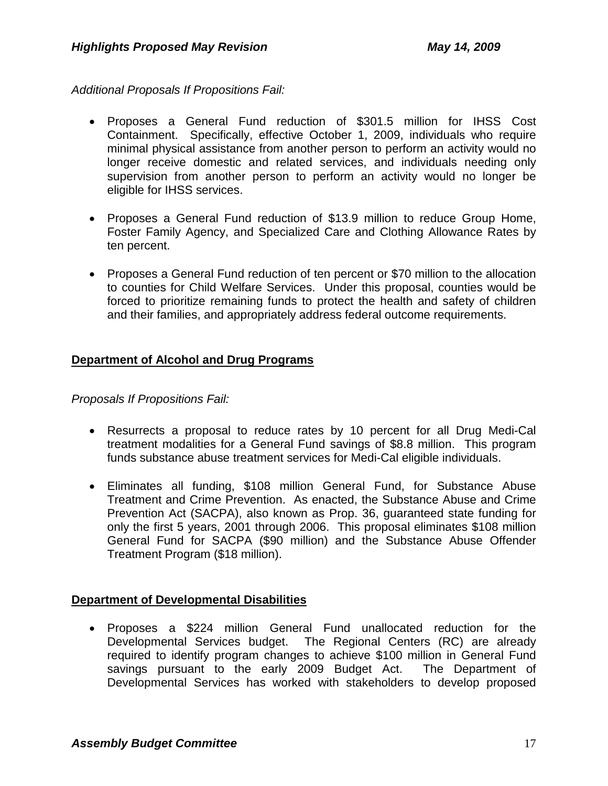*Additional Proposals If Propositions Fail:*

- Proposes a General Fund reduction of \$301.5 million for IHSS Cost Containment. Specifically, effective October 1, 2009, individuals who require minimal physical assistance from another person to perform an activity would no longer receive domestic and related services, and individuals needing only supervision from another person to perform an activity would no longer be eligible for IHSS services.
- Proposes a General Fund reduction of \$13.9 million to reduce Group Home, Foster Family Agency, and Specialized Care and Clothing Allowance Rates by ten percent.
- Proposes a General Fund reduction of ten percent or \$70 million to the allocation to counties for Child Welfare Services. Under this proposal, counties would be forced to prioritize remaining funds to protect the health and safety of children and their families, and appropriately address federal outcome requirements.

# **Department of Alcohol and Drug Programs**

*Proposals If Propositions Fail:*

- Resurrects a proposal to reduce rates by 10 percent for all Drug Medi-Cal treatment modalities for a General Fund savings of \$8.8 million. This program funds substance abuse treatment services for Medi-Cal eligible individuals.
- Eliminates all funding, \$108 million General Fund, for Substance Abuse Treatment and Crime Prevention. As enacted, the Substance Abuse and Crime Prevention Act (SACPA), also known as Prop. 36, guaranteed state funding for only the first 5 years, 2001 through 2006. This proposal eliminates \$108 million General Fund for SACPA (\$90 million) and the Substance Abuse Offender Treatment Program (\$18 million).

### **Department of Developmental Disabilities**

• Proposes a \$224 million General Fund unallocated reduction for the Developmental Services budget. The Regional Centers (RC) are already required to identify program changes to achieve \$100 million in General Fund savings pursuant to the early 2009 Budget Act. The Department of Developmental Services has worked with stakeholders to develop proposed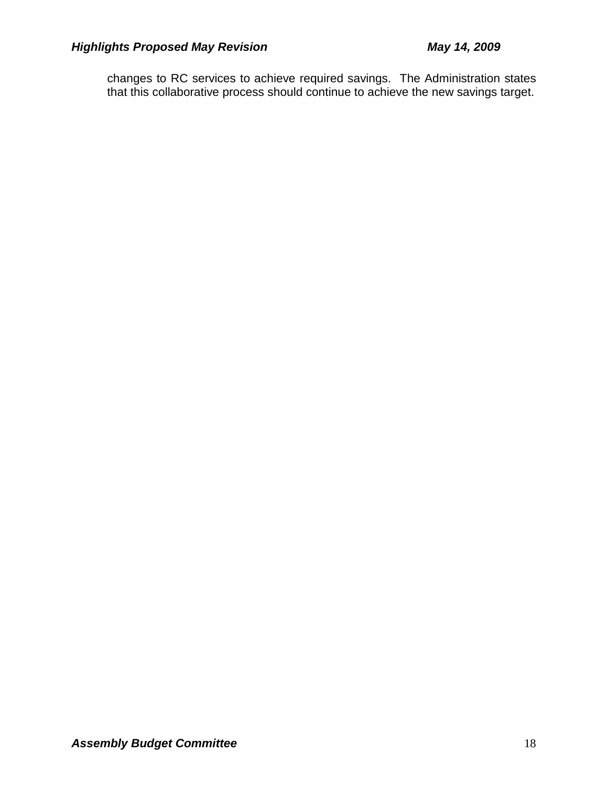changes to RC services to achieve required savings. The Administration states that this collaborative process should continue to achieve the new savings target.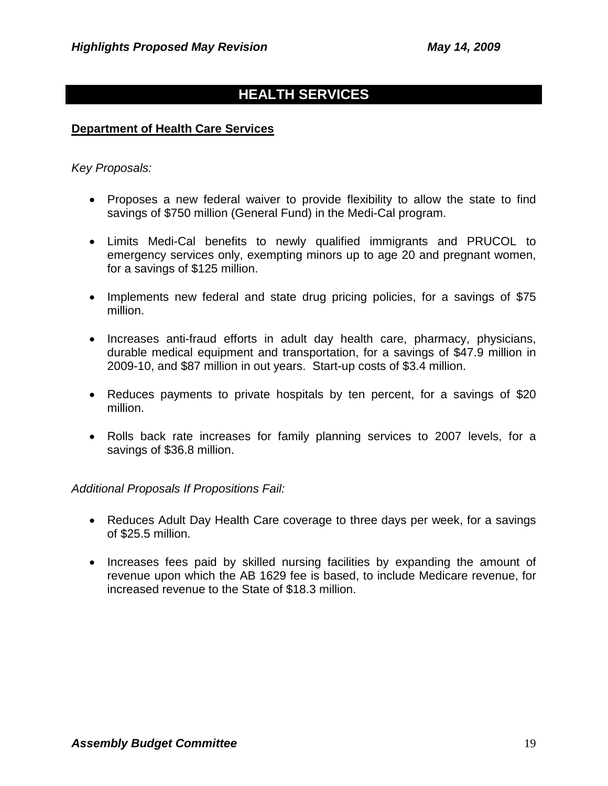# **HEALTH SERVICES**

#### **Department of Health Care Services**

#### *Key Proposals:*

- Proposes a new federal waiver to provide flexibility to allow the state to find savings of \$750 million (General Fund) in the Medi-Cal program.
- Limits Medi-Cal benefits to newly qualified immigrants and PRUCOL to emergency services only, exempting minors up to age 20 and pregnant women, for a savings of \$125 million.
- Implements new federal and state drug pricing policies, for a savings of \$75 million.
- Increases anti-fraud efforts in adult day health care, pharmacy, physicians, durable medical equipment and transportation, for a savings of \$47.9 million in 2009-10, and \$87 million in out years. Start-up costs of \$3.4 million.
- Reduces payments to private hospitals by ten percent, for a savings of \$20 million.
- Rolls back rate increases for family planning services to 2007 levels, for a savings of \$36.8 million.

- Reduces Adult Day Health Care coverage to three days per week, for a savings of \$25.5 million.
- Increases fees paid by skilled nursing facilities by expanding the amount of revenue upon which the AB 1629 fee is based, to include Medicare revenue, for increased revenue to the State of \$18.3 million.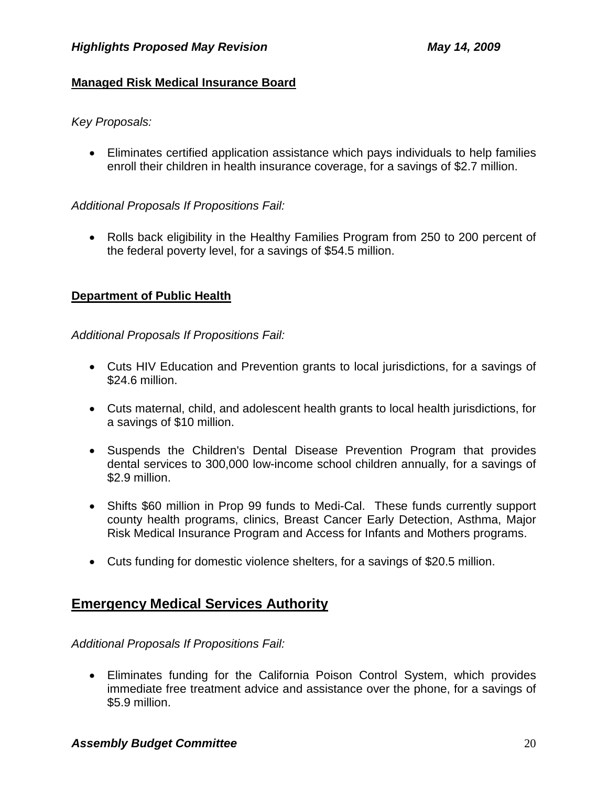# **Managed Risk Medical Insurance Board**

*Key Proposals:* 

• Eliminates certified application assistance which pays individuals to help families enroll their children in health insurance coverage, for a savings of \$2.7 million.

# *Additional Proposals If Propositions Fail:*

• Rolls back eligibility in the Healthy Families Program from 250 to 200 percent of the federal poverty level, for a savings of \$54.5 million.

# **Department of Public Health**

*Additional Proposals If Propositions Fail:*

- Cuts HIV Education and Prevention grants to local jurisdictions, for a savings of \$24.6 million.
- Cuts maternal, child, and adolescent health grants to local health jurisdictions, for a savings of \$10 million.
- Suspends the Children's Dental Disease Prevention Program that provides dental services to 300,000 low-income school children annually, for a savings of \$2.9 million.
- Shifts \$60 million in Prop 99 funds to Medi-Cal. These funds currently support county health programs, clinics, Breast Cancer Early Detection, Asthma, Major Risk Medical Insurance Program and Access for Infants and Mothers programs.
- Cuts funding for domestic violence shelters, for a savings of \$20.5 million.

# **Emergency Medical Services Authority**

*Additional Proposals If Propositions Fail:*

• Eliminates funding for the California Poison Control System, which provides immediate free treatment advice and assistance over the phone, for a savings of \$5.9 million.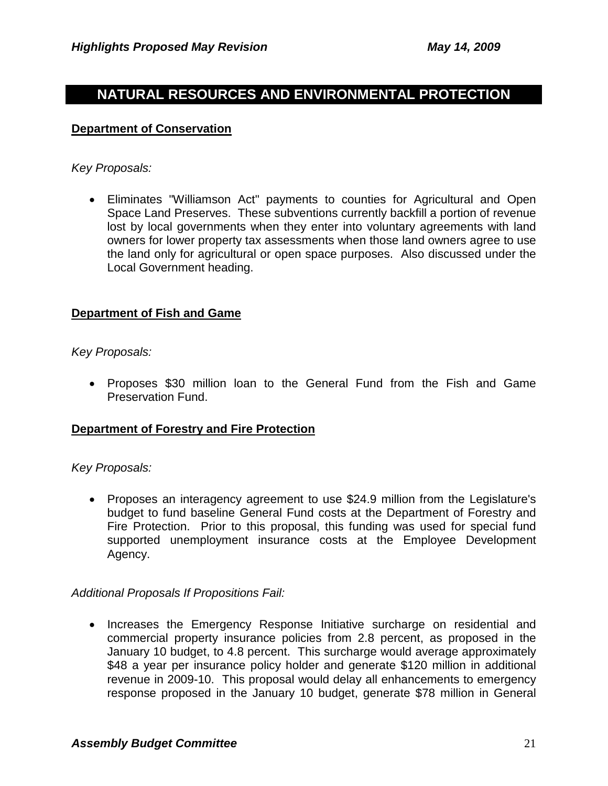# **NATURAL RESOURCES AND ENVIRONMENTAL PROTECTION**

#### **Department of Conservation**

#### *Key Proposals:*

• Eliminates "Williamson Act" payments to counties for Agricultural and Open Space Land Preserves. These subventions currently backfill a portion of revenue lost by local governments when they enter into voluntary agreements with land owners for lower property tax assessments when those land owners agree to use the land only for agricultural or open space purposes. Also discussed under the Local Government heading.

### **Department of Fish and Game**

*Key Proposals:* 

• Proposes \$30 million loan to the General Fund from the Fish and Game Preservation Fund.

### **Department of Forestry and Fire Protection**

#### *Key Proposals:*

• Proposes an interagency agreement to use \$24.9 million from the Legislature's budget to fund baseline General Fund costs at the Department of Forestry and Fire Protection. Prior to this proposal, this funding was used for special fund supported unemployment insurance costs at the Employee Development Agency.

### *Additional Proposals If Propositions Fail:*

• Increases the Emergency Response Initiative surcharge on residential and commercial property insurance policies from 2.8 percent, as proposed in the January 10 budget, to 4.8 percent. This surcharge would average approximately \$48 a year per insurance policy holder and generate \$120 million in additional revenue in 2009-10. This proposal would delay all enhancements to emergency response proposed in the January 10 budget, generate \$78 million in General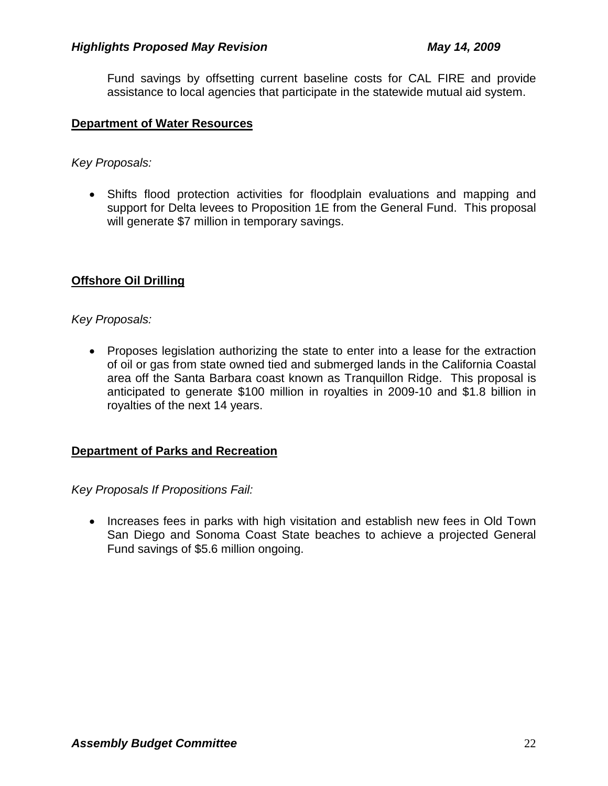Fund savings by offsetting current baseline costs for CAL FIRE and provide assistance to local agencies that participate in the statewide mutual aid system.

#### **Department of Water Resources**

*Key Proposals:* 

• Shifts flood protection activities for floodplain evaluations and mapping and support for Delta levees to Proposition 1E from the General Fund. This proposal will generate \$7 million in temporary savings.

# **Offshore Oil Drilling**

### *Key Proposals:*

• Proposes legislation authorizing the state to enter into a lease for the extraction of oil or gas from state owned tied and submerged lands in the California Coastal area off the Santa Barbara coast known as Tranquillon Ridge. This proposal is anticipated to generate \$100 million in royalties in 2009-10 and \$1.8 billion in royalties of the next 14 years.

### **Department of Parks and Recreation**

*Key Proposals If Propositions Fail:*

• Increases fees in parks with high visitation and establish new fees in Old Town San Diego and Sonoma Coast State beaches to achieve a projected General Fund savings of \$5.6 million ongoing.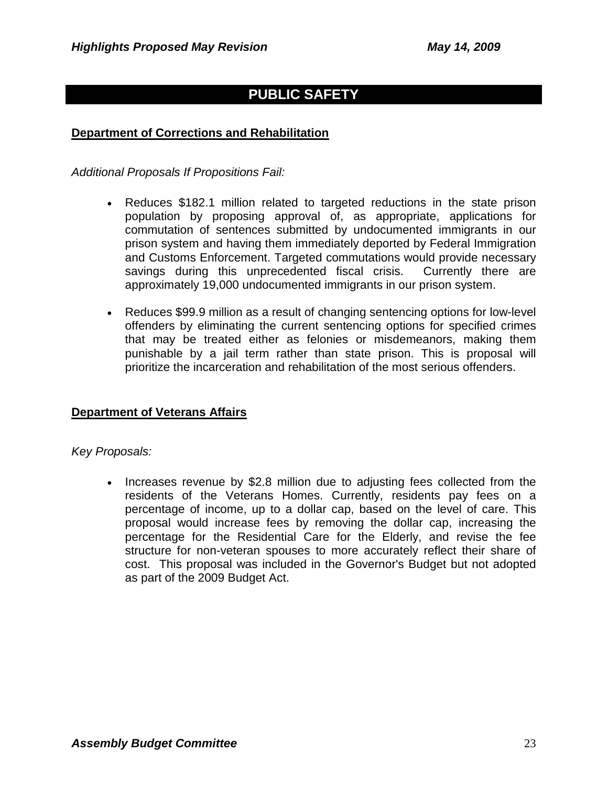# **PUBLIC SAFETY**

## **Department of Corrections and Rehabilitation**

*Additional Proposals If Propositions Fail:*

- Reduces \$182.1 million related to targeted reductions in the state prison population by proposing approval of, as appropriate, applications for commutation of sentences submitted by undocumented immigrants in our prison system and having them immediately deported by Federal Immigration and Customs Enforcement. Targeted commutations would provide necessary savings during this unprecedented fiscal crisis. Currently there are approximately 19,000 undocumented immigrants in our prison system.
- Reduces \$99.9 million as a result of changing sentencing options for low-level offenders by eliminating the current sentencing options for specified crimes that may be treated either as felonies or misdemeanors, making them punishable by a jail term rather than state prison. This is proposal will prioritize the incarceration and rehabilitation of the most serious offenders.

### **Department of Veterans Affairs**

#### *Key Proposals:*

• Increases revenue by \$2.8 million due to adjusting fees collected from the residents of the Veterans Homes. Currently, residents pay fees on a percentage of income, up to a dollar cap, based on the level of care. This proposal would increase fees by removing the dollar cap, increasing the percentage for the Residential Care for the Elderly, and revise the fee structure for non-veteran spouses to more accurately reflect their share of cost. This proposal was included in the Governor's Budget but not adopted as part of the 2009 Budget Act.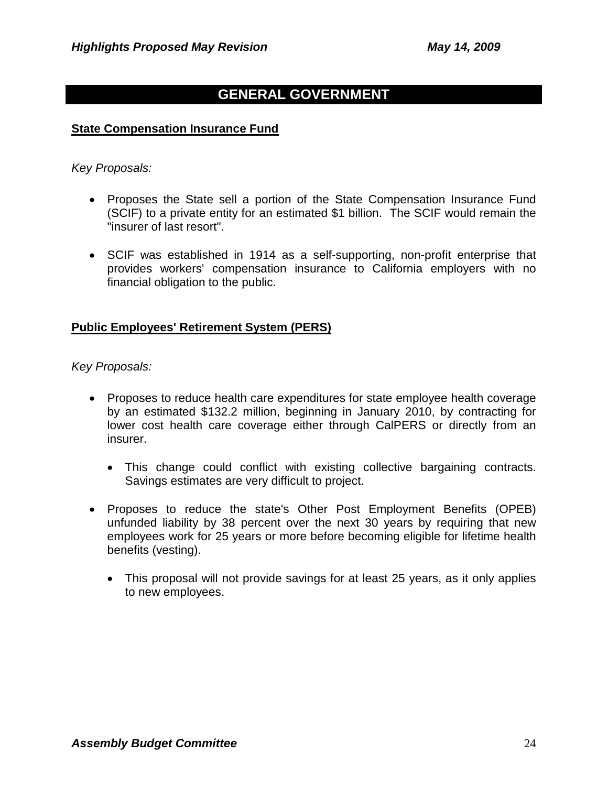# **GENERAL GOVERNMENT**

#### **State Compensation Insurance Fund**

#### *Key Proposals:*

- Proposes the State sell a portion of the State Compensation Insurance Fund (SCIF) to a private entity for an estimated \$1 billion. The SCIF would remain the "insurer of last resort".
- SCIF was established in 1914 as a self-supporting, non-profit enterprise that provides workers' compensation insurance to California employers with no financial obligation to the public.

#### **Public Employees' Retirement System (PERS)**

*Key Proposals:* 

- Proposes to reduce health care expenditures for state employee health coverage by an estimated \$132.2 million, beginning in January 2010, by contracting for lower cost health care coverage either through CalPERS or directly from an insurer.
	- This change could conflict with existing collective bargaining contracts. Savings estimates are very difficult to project.
- Proposes to reduce the state's Other Post Employment Benefits (OPEB) unfunded liability by 38 percent over the next 30 years by requiring that new employees work for 25 years or more before becoming eligible for lifetime health benefits (vesting).
	- This proposal will not provide savings for at least 25 years, as it only applies to new employees.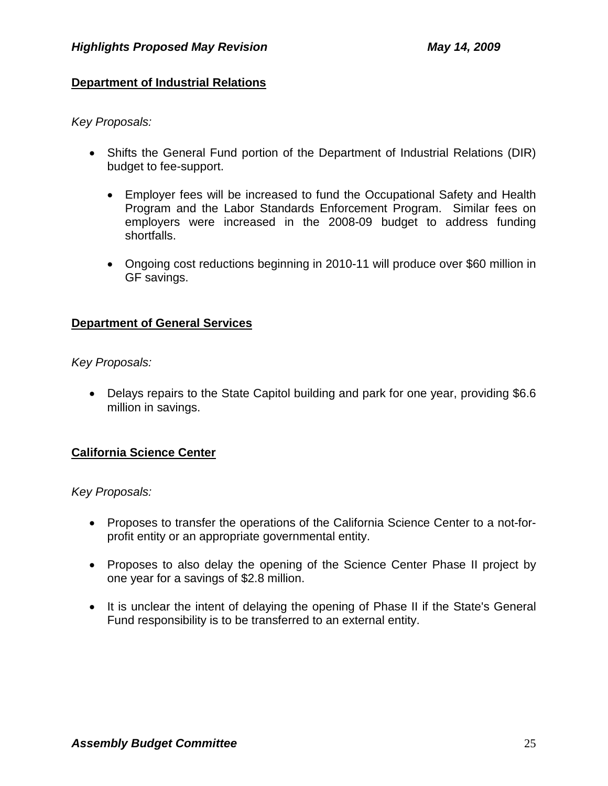# **Department of Industrial Relations**

*Key Proposals:* 

- Shifts the General Fund portion of the Department of Industrial Relations (DIR) budget to fee-support.
	- Employer fees will be increased to fund the Occupational Safety and Health Program and the Labor Standards Enforcement Program. Similar fees on employers were increased in the 2008-09 budget to address funding shortfalls.
	- Ongoing cost reductions beginning in 2010-11 will produce over \$60 million in GF savings.

# **Department of General Services**

*Key Proposals:* 

• Delays repairs to the State Capitol building and park for one year, providing \$6.6 million in savings.

# **California Science Center**

*Key Proposals:* 

- Proposes to transfer the operations of the California Science Center to a not-forprofit entity or an appropriate governmental entity.
- Proposes to also delay the opening of the Science Center Phase II project by one year for a savings of \$2.8 million.
- It is unclear the intent of delaying the opening of Phase II if the State's General Fund responsibility is to be transferred to an external entity.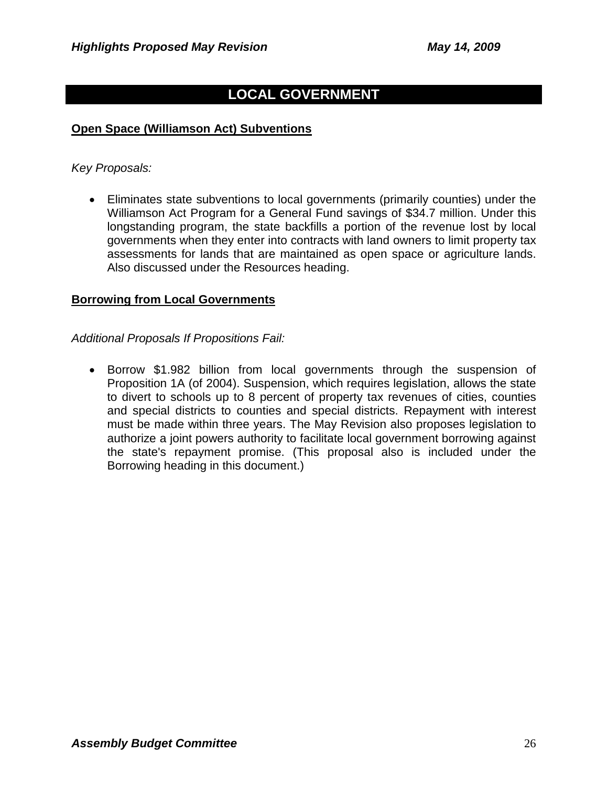# **LOCAL GOVERNMENT**

### **Open Space (Williamson Act) Subventions**

*Key Proposals:* 

• Eliminates state subventions to local governments (primarily counties) under the Williamson Act Program for a General Fund savings of \$34.7 million. Under this longstanding program, the state backfills a portion of the revenue lost by local governments when they enter into contracts with land owners to limit property tax assessments for lands that are maintained as open space or agriculture lands. Also discussed under the Resources heading.

#### **Borrowing from Local Governments**

*Additional Proposals If Propositions Fail:*

• Borrow \$1.982 billion from local governments through the suspension of Proposition 1A (of 2004). Suspension, which requires legislation, allows the state to divert to schools up to 8 percent of property tax revenues of cities, counties and special districts to counties and special districts. Repayment with interest must be made within three years. The May Revision also proposes legislation to authorize a joint powers authority to facilitate local government borrowing against the state's repayment promise. (This proposal also is included under the Borrowing heading in this document.)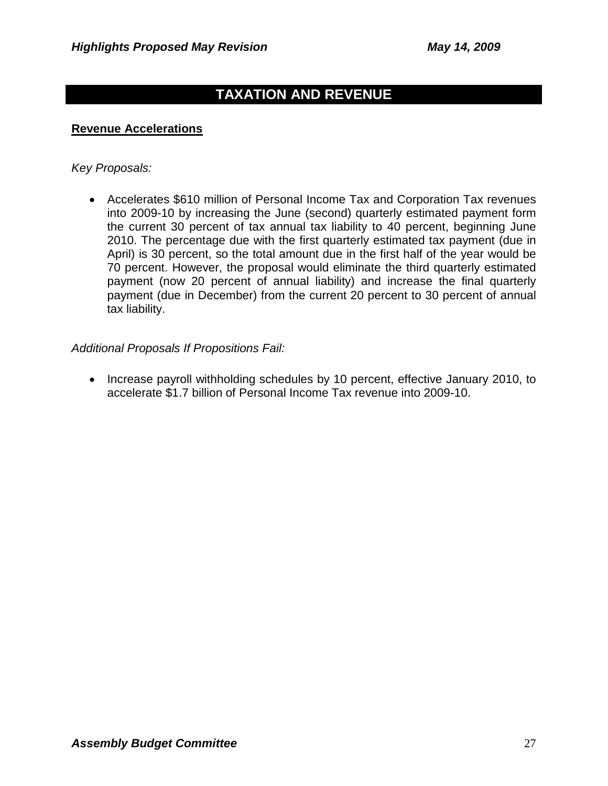# **TAXATION AND REVENUE**

#### **Revenue Accelerations**

#### *Key Proposals:*

• Accelerates \$610 million of Personal Income Tax and Corporation Tax revenues into 2009-10 by increasing the June (second) quarterly estimated payment form the current 30 percent of tax annual tax liability to 40 percent, beginning June 2010. The percentage due with the first quarterly estimated tax payment (due in April) is 30 percent, so the total amount due in the first half of the year would be 70 percent. However, the proposal would eliminate the third quarterly estimated payment (now 20 percent of annual liability) and increase the final quarterly payment (due in December) from the current 20 percent to 30 percent of annual tax liability.

#### *Additional Proposals If Propositions Fail:*

• Increase payroll withholding schedules by 10 percent, effective January 2010, to accelerate \$1.7 billion of Personal Income Tax revenue into 2009-10.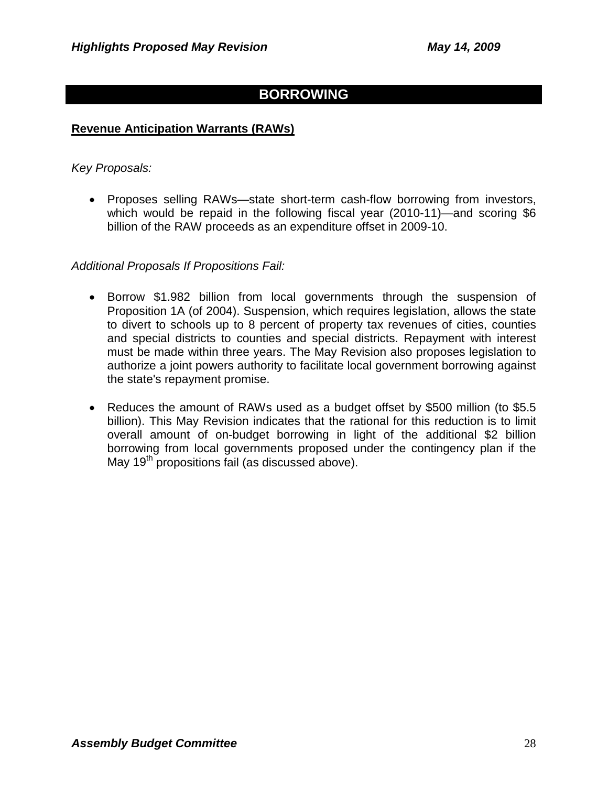# **BORROWING**

#### **Revenue Anticipation Warrants (RAWs)**

#### *Key Proposals:*

• Proposes selling RAWs—state short-term cash-flow borrowing from investors, which would be repaid in the following fiscal year (2010-11)—and scoring \$6 billion of the RAW proceeds as an expenditure offset in 2009-10.

- Borrow \$1.982 billion from local governments through the suspension of Proposition 1A (of 2004). Suspension, which requires legislation, allows the state to divert to schools up to 8 percent of property tax revenues of cities, counties and special districts to counties and special districts. Repayment with interest must be made within three years. The May Revision also proposes legislation to authorize a joint powers authority to facilitate local government borrowing against the state's repayment promise.
- Reduces the amount of RAWs used as a budget offset by \$500 million (to \$5.5 billion). This May Revision indicates that the rational for this reduction is to limit overall amount of on-budget borrowing in light of the additional \$2 billion borrowing from local governments proposed under the contingency plan if the May 19<sup>th</sup> propositions fail (as discussed above).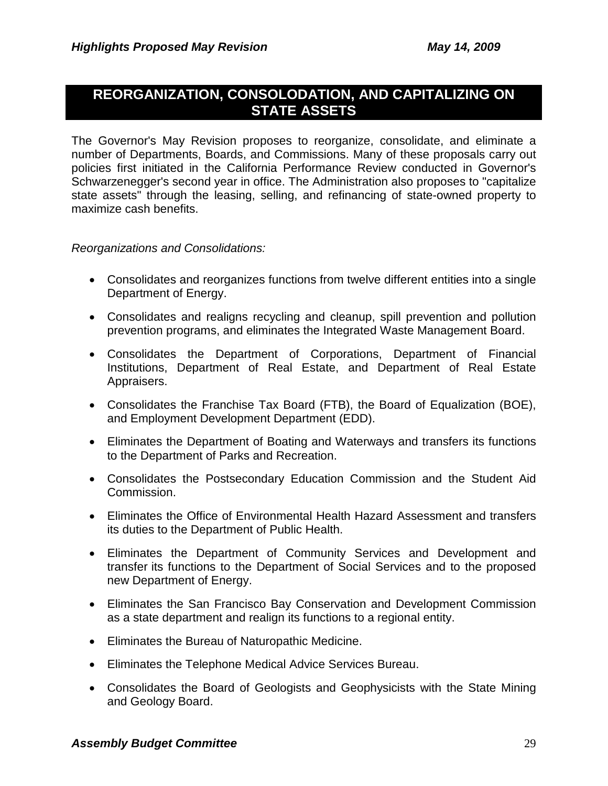# **REORGANIZATION, CONSOLODATION, AND CAPITALIZING ON STATE ASSETS**

The Governor's May Revision proposes to reorganize, consolidate, and eliminate a number of Departments, Boards, and Commissions. Many of these proposals carry out policies first initiated in the California Performance Review conducted in Governor's Schwarzenegger's second year in office. The Administration also proposes to "capitalize state assets" through the leasing, selling, and refinancing of state-owned property to maximize cash benefits.

*Reorganizations and Consolidations:*

- Consolidates and reorganizes functions from twelve different entities into a single Department of Energy.
- Consolidates and realigns recycling and cleanup, spill prevention and pollution prevention programs, and eliminates the Integrated Waste Management Board.
- Consolidates the Department of Corporations, Department of Financial Institutions, Department of Real Estate, and Department of Real Estate Appraisers.
- Consolidates the Franchise Tax Board (FTB), the Board of Equalization (BOE), and Employment Development Department (EDD).
- Eliminates the Department of Boating and Waterways and transfers its functions to the Department of Parks and Recreation.
- Consolidates the Postsecondary Education Commission and the Student Aid Commission.
- Eliminates the Office of Environmental Health Hazard Assessment and transfers its duties to the Department of Public Health.
- Eliminates the Department of Community Services and Development and transfer its functions to the Department of Social Services and to the proposed new Department of Energy.
- Eliminates the San Francisco Bay Conservation and Development Commission as a state department and realign its functions to a regional entity.
- Eliminates the Bureau of Naturopathic Medicine.
- Eliminates the Telephone Medical Advice Services Bureau.
- Consolidates the Board of Geologists and Geophysicists with the State Mining and Geology Board.